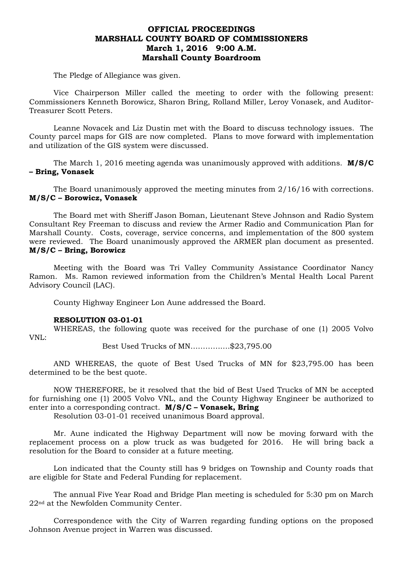## **OFFICIAL PROCEEDINGS MARSHALL COUNTY BOARD OF COMMISSIONERS March 1, 2016 9:00 A.M. Marshall County Boardroom**

The Pledge of Allegiance was given.

Vice Chairperson Miller called the meeting to order with the following present: Commissioners Kenneth Borowicz, Sharon Bring, Rolland Miller, Leroy Vonasek, and Auditor-Treasurer Scott Peters.

Leanne Novacek and Liz Dustin met with the Board to discuss technology issues. The County parcel maps for GIS are now completed. Plans to move forward with implementation and utilization of the GIS system were discussed.

The March 1, 2016 meeting agenda was unanimously approved with additions. **M/S/C – Bring, Vonasek**

The Board unanimously approved the meeting minutes from 2/16/16 with corrections. **M/S/C – Borowicz, Vonasek**

The Board met with Sheriff Jason Boman, Lieutenant Steve Johnson and Radio System Consultant Rey Freeman to discuss and review the Armer Radio and Communication Plan for Marshall County. Costs, coverage, service concerns, and implementation of the 800 system were reviewed. The Board unanimously approved the ARMER plan document as presented. **M/S/C – Bring, Borowicz**

Meeting with the Board was Tri Valley Community Assistance Coordinator Nancy Ramon. Ms. Ramon reviewed information from the Children's Mental Health Local Parent Advisory Council (LAC).

County Highway Engineer Lon Aune addressed the Board.

#### **RESOLUTION 03-01-01**

WHEREAS, the following quote was received for the purchase of one (1) 2005 Volvo VNL:

Best Used Trucks of MN…………….\$23,795.00

AND WHEREAS, the quote of Best Used Trucks of MN for \$23,795.00 has been determined to be the best quote.

NOW THEREFORE, be it resolved that the bid of Best Used Trucks of MN be accepted for furnishing one (1) 2005 Volvo VNL, and the County Highway Engineer be authorized to enter into a corresponding contract. **M/S/C – Vonasek, Bring** 

Resolution 03-01-01 received unanimous Board approval.

Mr. Aune indicated the Highway Department will now be moving forward with the replacement process on a plow truck as was budgeted for 2016. He will bring back a resolution for the Board to consider at a future meeting.

Lon indicated that the County still has 9 bridges on Township and County roads that are eligible for State and Federal Funding for replacement.

The annual Five Year Road and Bridge Plan meeting is scheduled for 5:30 pm on March 22nd at the Newfolden Community Center.

Correspondence with the City of Warren regarding funding options on the proposed Johnson Avenue project in Warren was discussed.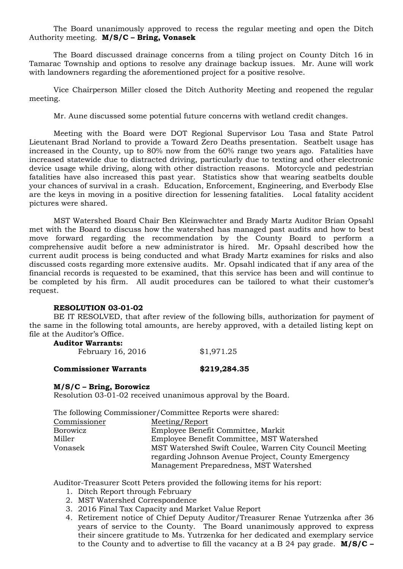The Board unanimously approved to recess the regular meeting and open the Ditch Authority meeting. **M/S/C – Bring, Vonasek**

The Board discussed drainage concerns from a tiling project on County Ditch 16 in Tamarac Township and options to resolve any drainage backup issues. Mr. Aune will work with landowners regarding the aforementioned project for a positive resolve.

Vice Chairperson Miller closed the Ditch Authority Meeting and reopened the regular meeting.

Mr. Aune discussed some potential future concerns with wetland credit changes.

Meeting with the Board were DOT Regional Supervisor Lou Tasa and State Patrol Lieutenant Brad Norland to provide a Toward Zero Deaths presentation. Seatbelt usage has increased in the County, up to 80% now from the 60% range two years ago. Fatalities have increased statewide due to distracted driving, particularly due to texting and other electronic device usage while driving, along with other distraction reasons. Motorcycle and pedestrian fatalities have also increased this past year. Statistics show that wearing seatbelts double your chances of survival in a crash. Education, Enforcement, Engineering, and Everbody Else are the keys in moving in a positive direction for lessening fatalities. Local fatality accident pictures were shared.

MST Watershed Board Chair Ben Kleinwachter and Brady Martz Auditor Brian Opsahl met with the Board to discuss how the watershed has managed past audits and how to best move forward regarding the recommendation by the County Board to perform a comprehensive audit before a new administrator is hired. Mr. Opsahl described how the current audit process is being conducted and what Brady Martz examines for risks and also discussed costs regarding more extensive audits. Mr. Opsahl indicated that if any area of the financial records is requested to be examined, that this service has been and will continue to be completed by his firm. All audit procedures can be tailored to what their customer's request.

#### **RESOLUTION 03-01-02**

BE IT RESOLVED, that after review of the following bills, authorization for payment of the same in the following total amounts, are hereby approved, with a detailed listing kept on file at the Auditor's Office.

## **Auditor Warrants:**

| February 16, 2016 | \$1,971.25 |
|-------------------|------------|
|-------------------|------------|

#### **Commissioner Warrants \$219,284.35**

#### **M/S/C – Bring, Borowicz**

Resolution 03-01-02 received unanimous approval by the Board.

The following Commissioner/Committee Reports were shared:

| Commissioner | Meeting/Report                                          |
|--------------|---------------------------------------------------------|
| Borowicz     | Employee Benefit Committee, Markit                      |
| Miller       | Employee Benefit Committee, MST Watershed               |
| Vonasek      | MST Watershed Swift Coulee, Warren City Council Meeting |
|              | regarding Johnson Avenue Project, County Emergency      |
|              | Management Preparedness, MST Watershed                  |

Auditor-Treasurer Scott Peters provided the following items for his report:

- 1. Ditch Report through February
- 2. MST Watershed Correspondence
- 3. 2016 Final Tax Capacity and Market Value Report
- 4. Retirement notice of Chief Deputy Auditor/Treasurer Renae Yutrzenka after 36 years of service to the County. The Board unanimously approved to express their sincere gratitude to Ms. Yutrzenka for her dedicated and exemplary service to the County and to advertise to fill the vacancy at a B 24 pay grade. **M/S/C –**